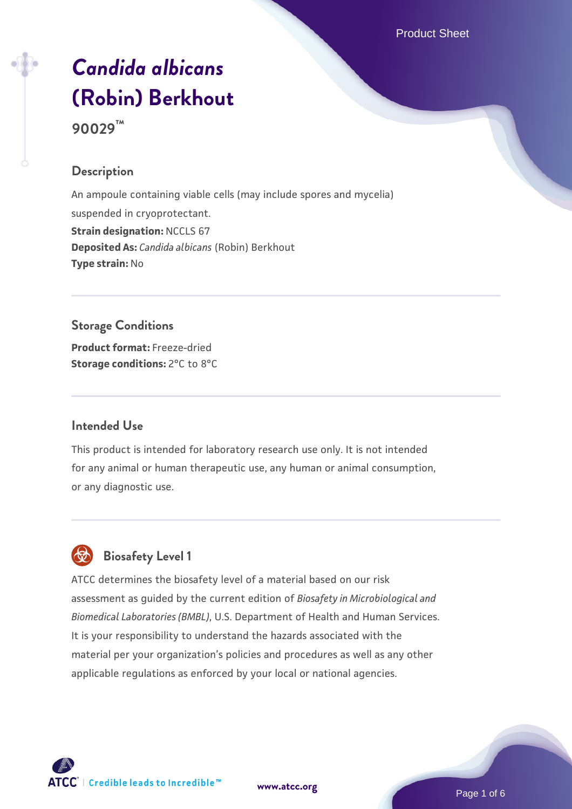Product Sheet

# *[Candida albicans](https://www.atcc.org/products/90029)* **[\(Robin\) Berkhout](https://www.atcc.org/products/90029) 90029™**

# **Description**

An ampoule containing viable cells (may include spores and mycelia) suspended in cryoprotectant. **Strain designation: NCCLS 67 Deposited As:** *Candida albicans* (Robin) Berkhout **Type strain:** No

# **Storage Conditions**

**Product format:** Freeze-dried **Storage conditions:** 2°C to 8°C

#### **Intended Use**

This product is intended for laboratory research use only. It is not intended for any animal or human therapeutic use, any human or animal consumption, or any diagnostic use.

# **Biosafety Level 1**

ATCC determines the biosafety level of a material based on our risk assessment as guided by the current edition of *Biosafety in Microbiological and Biomedical Laboratories (BMBL)*, U.S. Department of Health and Human Services. It is your responsibility to understand the hazards associated with the material per your organization's policies and procedures as well as any other applicable regulations as enforced by your local or national agencies.



**[www.atcc.org](http://www.atcc.org)**

Page 1 of 6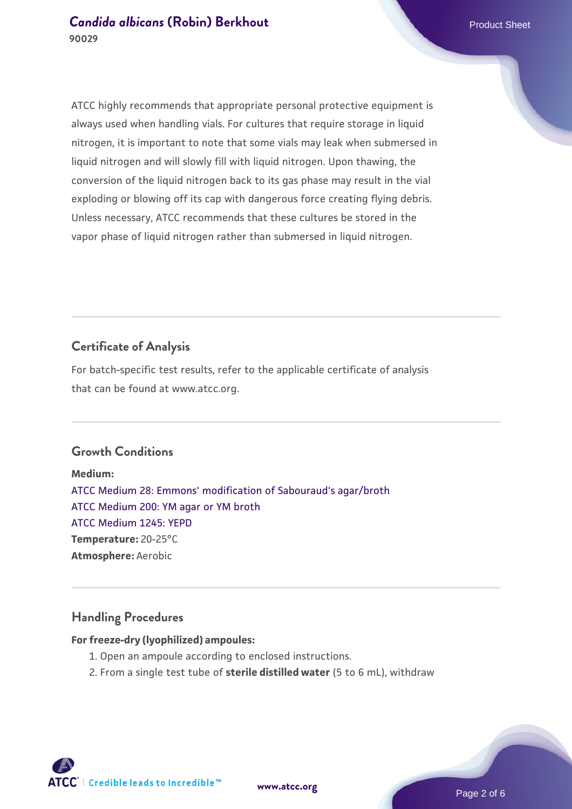# **[Candida albicans](https://www.atcc.org/products/90029) [\(Robin\) Berkhout](https://www.atcc.org/products/90029) Candida albicans** (Robin) Berkhout **90029**

ATCC highly recommends that appropriate personal protective equipment is always used when handling vials. For cultures that require storage in liquid nitrogen, it is important to note that some vials may leak when submersed in liquid nitrogen and will slowly fill with liquid nitrogen. Upon thawing, the conversion of the liquid nitrogen back to its gas phase may result in the vial exploding or blowing off its cap with dangerous force creating flying debris. Unless necessary, ATCC recommends that these cultures be stored in the vapor phase of liquid nitrogen rather than submersed in liquid nitrogen.

# **Certificate of Analysis**

For batch-specific test results, refer to the applicable certificate of analysis that can be found at www.atcc.org.

## **Growth Conditions**

**Medium:**  [ATCC Medium 28: Emmons' modification of Sabouraud's agar/broth](https://www.atcc.org/-/media/product-assets/documents/microbial-media-formulations/2/8/atcc-medium-28.pdf?rev=0da0c58cc2a343eeae735016b70809bb) [ATCC Medium 200: YM agar or YM broth](https://www.atcc.org/-/media/product-assets/documents/microbial-media-formulations/2/0/0/atcc-medium-200.pdf?rev=ac40fd74dc13433a809367b0b9da30fc) [ATCC Medium 1245: YEPD](https://www.atcc.org/-/media/product-assets/documents/microbial-media-formulations/1/2/4/5/atcc-medium-1245.pdf?rev=705ca55d1b6f490a808a965d5c072196) **Temperature:** 20-25°C **Atmosphere:** Aerobic

#### **Handling Procedures**

#### **For freeze-dry (lyophilized) ampoules:**

- 1. Open an ampoule according to enclosed instructions.
- 2. From a single test tube of **sterile distilled water** (5 to 6 mL), withdraw

**ATCC** | Credible leads to Incredible™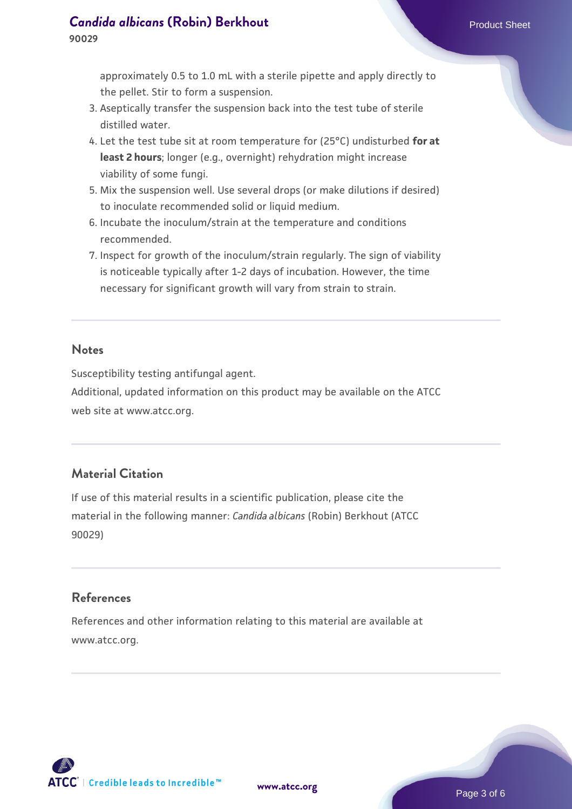approximately 0.5 to 1.0 mL with a sterile pipette and apply directly to the pellet. Stir to form a suspension.

- 3. Aseptically transfer the suspension back into the test tube of sterile distilled water.
- 4. Let the test tube sit at room temperature for (25°C) undisturbed **for at least 2 hours**; longer (e.g., overnight) rehydration might increase viability of some fungi.
- Mix the suspension well. Use several drops (or make dilutions if desired) 5. to inoculate recommended solid or liquid medium.
- 6. Incubate the inoculum/strain at the temperature and conditions recommended.
- 7. Inspect for growth of the inoculum/strain regularly. The sign of viability is noticeable typically after 1-2 days of incubation. However, the time necessary for significant growth will vary from strain to strain.

#### **Notes**

Susceptibility testing antifungal agent.

Additional, updated information on this product may be available on the ATCC web site at www.atcc.org.

# **Material Citation**

If use of this material results in a scientific publication, please cite the material in the following manner: *Candida albicans* (Robin) Berkhout (ATCC 90029)

## **References**

References and other information relating to this material are available at www.atcc.org.

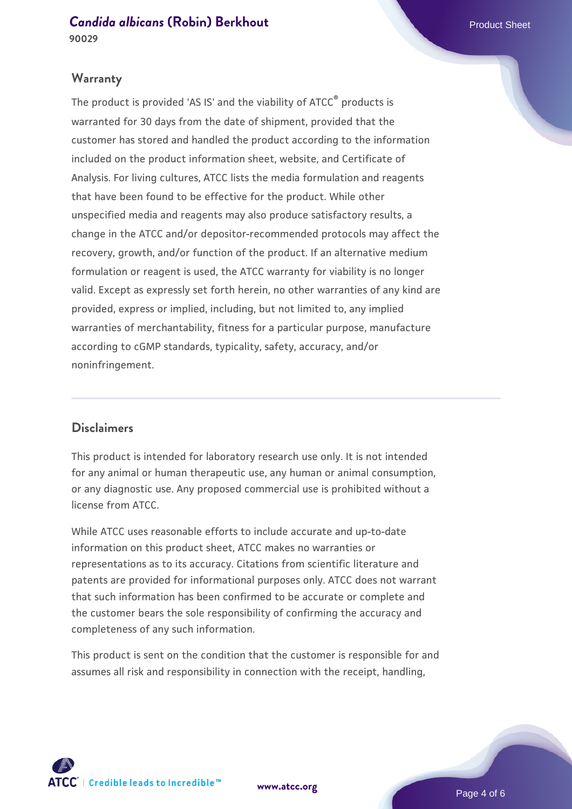## **[Candida albicans](https://www.atcc.org/products/90029) [\(Robin\) Berkhout](https://www.atcc.org/products/90029) Candida albicans** (Robin) Berkhout **90029**

#### **Warranty**

The product is provided 'AS IS' and the viability of ATCC® products is warranted for 30 days from the date of shipment, provided that the customer has stored and handled the product according to the information included on the product information sheet, website, and Certificate of Analysis. For living cultures, ATCC lists the media formulation and reagents that have been found to be effective for the product. While other unspecified media and reagents may also produce satisfactory results, a change in the ATCC and/or depositor-recommended protocols may affect the recovery, growth, and/or function of the product. If an alternative medium formulation or reagent is used, the ATCC warranty for viability is no longer valid. Except as expressly set forth herein, no other warranties of any kind are provided, express or implied, including, but not limited to, any implied warranties of merchantability, fitness for a particular purpose, manufacture according to cGMP standards, typicality, safety, accuracy, and/or noninfringement.

## **Disclaimers**

This product is intended for laboratory research use only. It is not intended for any animal or human therapeutic use, any human or animal consumption, or any diagnostic use. Any proposed commercial use is prohibited without a license from ATCC.

While ATCC uses reasonable efforts to include accurate and up-to-date information on this product sheet, ATCC makes no warranties or representations as to its accuracy. Citations from scientific literature and patents are provided for informational purposes only. ATCC does not warrant that such information has been confirmed to be accurate or complete and the customer bears the sole responsibility of confirming the accuracy and completeness of any such information.

This product is sent on the condition that the customer is responsible for and assumes all risk and responsibility in connection with the receipt, handling,



**[www.atcc.org](http://www.atcc.org)**

Page 4 of 6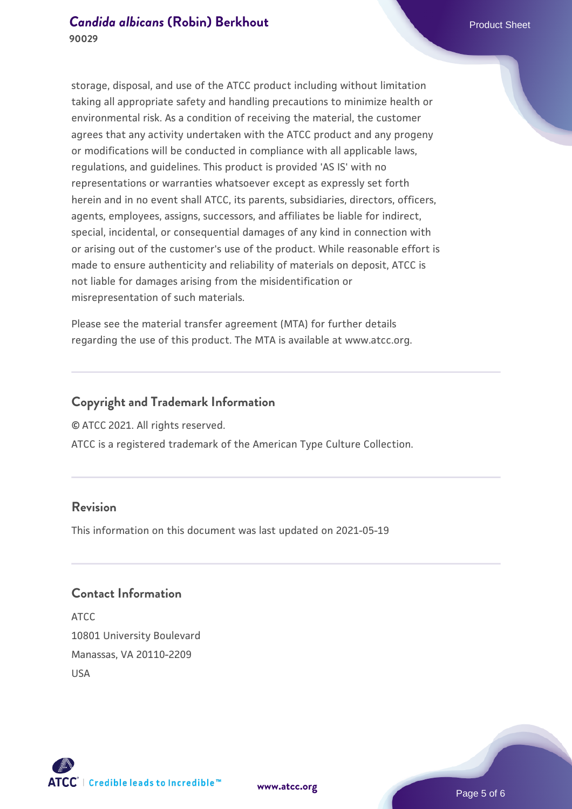# **[Candida albicans](https://www.atcc.org/products/90029) [\(Robin\) Berkhout](https://www.atcc.org/products/90029) Candida albicans** (Robin) Berkhout **90029**

storage, disposal, and use of the ATCC product including without limitation taking all appropriate safety and handling precautions to minimize health or environmental risk. As a condition of receiving the material, the customer agrees that any activity undertaken with the ATCC product and any progeny or modifications will be conducted in compliance with all applicable laws, regulations, and guidelines. This product is provided 'AS IS' with no representations or warranties whatsoever except as expressly set forth herein and in no event shall ATCC, its parents, subsidiaries, directors, officers, agents, employees, assigns, successors, and affiliates be liable for indirect, special, incidental, or consequential damages of any kind in connection with or arising out of the customer's use of the product. While reasonable effort is made to ensure authenticity and reliability of materials on deposit, ATCC is not liable for damages arising from the misidentification or misrepresentation of such materials.

Please see the material transfer agreement (MTA) for further details regarding the use of this product. The MTA is available at www.atcc.org.

#### **Copyright and Trademark Information**

© ATCC 2021. All rights reserved.

ATCC is a registered trademark of the American Type Culture Collection.

# **Revision**

This information on this document was last updated on 2021-05-19

# **Contact Information**

ATCC 10801 University Boulevard Manassas, VA 20110-2209 USA